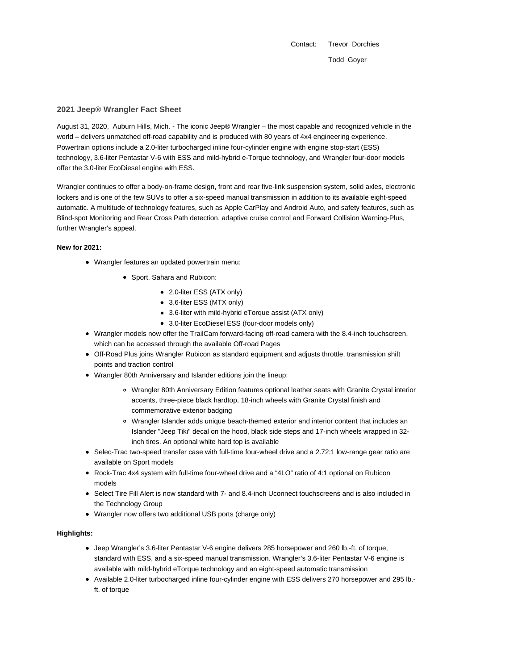Contact: Trevor Dorchies Todd Goyer

## **2021 Jeep® Wrangler Fact Sheet**

August 31, 2020, Auburn Hills, Mich. - The iconic Jeep® Wrangler – the most capable and recognized vehicle in the world – delivers unmatched off-road capability and is produced with 80 years of 4x4 engineering experience. Powertrain options include a 2.0-liter turbocharged inline four-cylinder engine with engine stop-start (ESS) technology, 3.6-liter Pentastar V-6 with ESS and mild-hybrid e-Torque technology, and Wrangler four-door models offer the 3.0-liter EcoDiesel engine with ESS.

Wrangler continues to offer a body-on-frame design, front and rear five-link suspension system, solid axles, electronic lockers and is one of the few SUVs to offer a six-speed manual transmission in addition to its available eight-speed automatic. A multitude of technology features, such as Apple CarPlay and Android Auto, and safety features, such as Blind-spot Monitoring and Rear Cross Path detection, adaptive cruise control and Forward Collision Warning-Plus, further Wrangler's appeal.

# **New for 2021:**

- Wrangler features an updated powertrain menu:
	- Sport, Sahara and Rubicon:
		- 2.0-liter ESS (ATX only)
		- 3.6-liter ESS (MTX only)
		- 3.6-liter with mild-hybrid eTorque assist (ATX only)
		- 3.0-liter EcoDiesel ESS (four-door models only)
- Wrangler models now offer the TrailCam forward-facing off-road camera with the 8.4-inch touchscreen, which can be accessed through the available Off-road Pages
- Off-Road Plus joins Wrangler Rubicon as standard equipment and adjusts throttle, transmission shift points and traction control
- Wrangler 80th Anniversary and Islander editions join the lineup:
	- Wrangler 80th Anniversary Edition features optional leather seats with Granite Crystal interior accents, three-piece black hardtop, 18-inch wheels with Granite Crystal finish and commemorative exterior badging
	- Wrangler Islander adds unique beach-themed exterior and interior content that includes an Islander "Jeep Tiki" decal on the hood, black side steps and 17-inch wheels wrapped in 32 inch tires. An optional white hard top is available
- Selec-Trac two-speed transfer case with full-time four-wheel drive and a 2.72:1 low-range gear ratio are available on Sport models
- Rock-Trac 4x4 system with full-time four-wheel drive and a "4LO" ratio of 4:1 optional on Rubicon models
- Select Tire Fill Alert is now standard with 7- and 8.4-inch Uconnect touchscreens and is also included in the Technology Group
- Wrangler now offers two additional USB ports (charge only)

### **Highlights:**

- Jeep Wrangler's 3.6-liter Pentastar V-6 engine delivers 285 horsepower and 260 lb.-ft. of torque, standard with ESS, and a six-speed manual transmission. Wrangler's 3.6-liter Pentastar V-6 engine is available with mild-hybrid eTorque technology and an eight-speed automatic transmission
- Available 2.0-liter turbocharged inline four-cylinder engine with ESS delivers 270 horsepower and 295 lb. ft. of torque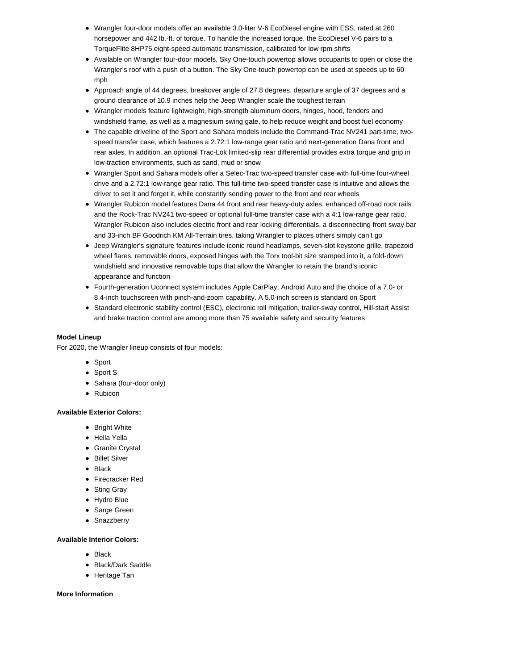- Wrangler four-door models offer an available 3.0-liter V-6 EcoDiesel engine with ESS, rated at 260 horsepower and 442 lb.-ft. of torque. To handle the increased torque, the EcoDiesel V-6 pairs to a TorqueFlite 8HP75 eight-speed automatic transmission, calibrated for low rpm shifts
- Available on Wrangler four-door models, Sky One-touch powertop allows occupants to open or close the Wrangler's roof with a push of a button. The Sky One-touch powertop can be used at speeds up to 60 mph
- Approach angle of 44 degrees, breakover angle of 27.8 degrees, departure angle of 37 degrees and a ground clearance of 10.9 inches help the Jeep Wrangler scale the toughest terrain
- Wrangler models feature lightweight, high-strength aluminum doors, hinges, hood, fenders and windshield frame, as well as a magnesium swing gate, to help reduce weight and boost fuel economy
- The capable driveline of the Sport and Sahara models include the Command-Trac NV241 part-time, twospeed transfer case, which features a 2.72:1 low-range gear ratio and next-generation Dana front and rear axles. In addition, an optional Trac-Lok limited-slip rear differential provides extra torque and grip in low-traction environments, such as sand, mud or snow
- Wrangler Sport and Sahara models offer a Selec-Trac two-speed transfer case with full-time four-wheel drive and a 2.72:1 low-range gear ratio. This full-time two-speed transfer case is intuitive and allows the driver to set it and forget it, while constantly sending power to the front and rear wheels
- Wrangler Rubicon model features Dana 44 front and rear heavy-duty axles, enhanced off-road rock rails and the Rock-Trac NV241 two-speed or optional full-time transfer case with a 4:1 low-range gear ratio. Wrangler Rubicon also includes electric front and rear locking differentials, a disconnecting front sway bar and 33-inch BF Goodrich KM All-Terrain tires, taking Wrangler to places others simply can't go
- Jeep Wrangler's signature features include iconic round headlamps, seven-slot keystone grille, trapezoid wheel flares, removable doors, exposed hinges with the Torx tool-bit size stamped into it, a fold-down windshield and innovative removable tops that allow the Wrangler to retain the brand's iconic appearance and function
- Fourth-generation Uconnect system includes Apple CarPlay, Android Auto and the choice of a 7.0- or 8.4-inch touchscreen with pinch-and-zoom capability. A 5.0-inch screen is standard on Sport
- Standard electronic stability control (ESC), electronic roll mitigation, trailer-sway control, Hill-start Assist and brake traction control are among more than 75 available safety and security features

# **Model Lineup**

For 2020, the Wrangler lineup consists of four models:

- Sport
- Sport S
- Sahara (four-door only)
- Rubicon

### **Available Exterior Colors:**

- Bright White
- Hella Yella
- Granite Crystal
- Billet Silver
- Black
- Firecracker Red
- Sting Gray
- Hydro Blue
- Sarge Green
- Snazzberry

### **Available Interior Colors:**

- Black
- Black/Dark Saddle
- Heritage Tan

## **More Information**